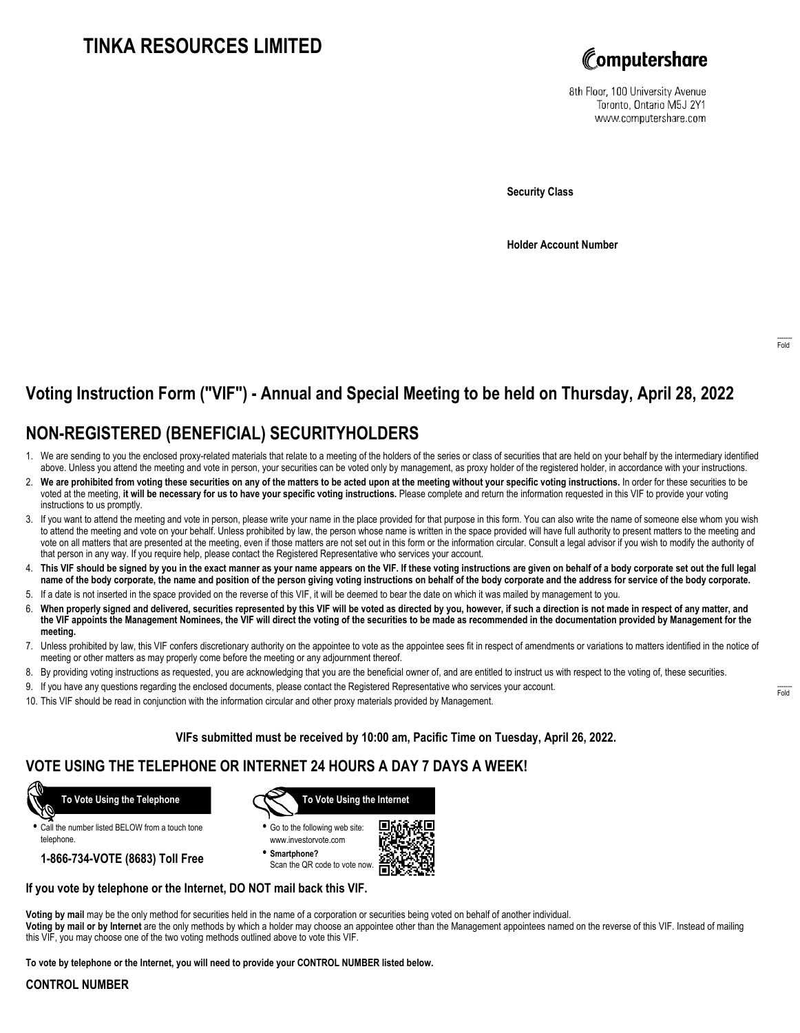# **TINKA RESOURCES LIMITED**



8th Floor, 100 University Avenue Toronto, Ontario M5J 2Y1 www.computershare.com

**Security Class**

**Holder Account Number**

## **Voting Instruction Form ("VIF") - Annual and Special Meeting to be held on Thursday, April 28, 2022**

## **NON-REGISTERED (BENEFICIAL) SECURITYHOLDERS**

- 1. We are sending to you the enclosed proxy-related materials that relate to a meeting of the holders of the series or class of securities that are held on your behalf by the intermediary identified above. Unless you attend the meeting and vote in person, your securities can be voted only by management, as proxy holder of the registered holder, in accordance with your instructions.
- 2. **We are prohibited from voting these securities on any of the matters to be acted upon at the meeting without your specific voting instructions.** In order for these securities to be voted at the meeting, **it will be necessary for us to have your specific voting instructions.** Please complete and return the information requested in this VIF to provide your voting instructions to us promptly.
- 3. If you want to attend the meeting and vote in person, please write your name in the place provided for that purpose in this form. You can also write the name of someone else whom you wish to attend the meeting and vote on your behalf. Unless prohibited by law, the person whose name is written in the space provided will have full authority to present matters to the meeting and vote on all matters that are presented at the meeting, even if those matters are not set out in this form or the information circular. Consult a legal advisor if you wish to modify the authority of that person in any way. If you require help, please contact the Registered Representative who services your account.
- 4. **This VIF should be signed by you in the exact manner as your name appears on the VIF. If these voting instructions are given on behalf of a body corporate set out the full legal name of the body corporate, the name and position of the person giving voting instructions on behalf of the body corporate and the address for service of the body corporate.**
- 5. If a date is not inserted in the space provided on the reverse of this VIF, it will be deemed to bear the date on which it was mailed by management to you.
- 6. **When properly signed and delivered, securities represented by this VIF will be voted as directed by you, however, if such a direction is not made in respect of any matter, and the VIF appoints the Management Nominees, the VIF will direct the voting of the securities to be made as recommended in the documentation provided by Management for the meeting.**
- 7. Unless prohibited by law, this VIF confers discretionary authority on the appointee to vote as the appointee sees fit in respect of amendments or variations to matters identified in the notice of meeting or other matters as may properly come before the meeting or any adjournment thereof.
- 8. By providing voting instructions as requested, you are acknowledging that you are the beneficial owner of, and are entitled to instruct us with respect to the voting of, these securities.
- 9. If you have any questions regarding the enclosed documents, please contact the Registered Representative who services your account.
- 10. This VIF should be read in conjunction with the information circular and other proxy materials provided by Management.

### **VIFs submitted must be received by 10:00 am, Pacific Time on Tuesday, April 26, 2022.**

## **VOTE USING THE TELEPHONE OR INTERNET 24 HOURS A DAY 7 DAYS A WEEK!**



**•** Call the number listed BELOW from a touch tone telephone.

**1-866-734-VOTE (8683) Toll Free**



- **•** Go to the following web site: www.investorvote.com
- **• Smartphone?** Scan the QR code to vote now.



### **If you vote by telephone or the Internet, DO NOT mail back this VIF.**

this VIF, you may choose one of the two voting methods outlined above to vote this VIF.

**Voting by mail** may be the only method for securities held in the name of a corporation or securities being voted on behalf of another individual. **Voting by mail or by Internet** are the only methods by which a holder may choose an appointee other than the Management appointees named on the reverse of this VIF. Instead of mailing

**To vote by telephone or the Internet, you will need to provide your CONTROL NUMBER listed below.**

### **CONTROL NUMBER**